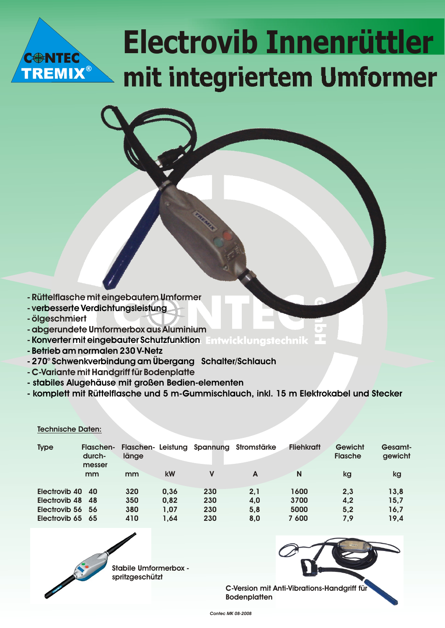# **Electrovib Innenrüttler mit integriertem Umformer**

- **Rüttelflasche mit eingebautem Umformer**
- **v erbesserte Verdichtungsleistung**
- **ölgeschmiert**

**REMIX®** 

- **abgerundete Umformerbox aus Aluminium**
- **Konverter mit eingebauter Schutzfunktion**
- **Betrieb am normalen 230 V-Netz**
- **270° Schwenkverbindung am Übergang Schalter/Schlauch**
- **C-Variante mit Handgriff für Bodenplatte**
- **stabiles Alugehäuse mit großen Bedien-elementen**
- **komplett mit Rüttelflasche und 5 m-Gummischlauch, inkl. 15 m Elektrokabel und Stecker**

#### **Technische Daten:**

| <b>Type</b>      | <b>Flaschen-</b><br>durch-<br>messer | <b>Flaschen-</b><br>länge |      | Leistung Spannung | Stromstärke | <b>Fliehkraft</b> | Gewicht<br><b>Flasche</b> | Gesamt-<br>gewicht |
|------------------|--------------------------------------|---------------------------|------|-------------------|-------------|-------------------|---------------------------|--------------------|
|                  | mm                                   | mm                        | kW   | V                 | A           | N                 | kg                        | kg                 |
| Electrovib 40    | - 40                                 | 320                       | 0.36 | 230               | 2,1         | 1600              | 2,3                       | 13,8               |
| Electrovib 48 48 |                                      | 350                       | 0,82 | 230               | 4.0         | 3700              | 4,2                       | 15,7               |
| Electrovib 56 56 |                                      | 380                       | 1,07 | 230               | 5.8         | 5000              | 5,2                       | 16,7               |
| Electrovib 65 65 |                                      | 410                       | 1.64 | 230               | 8,0         | 7 600             | 7,9                       | 19,4               |



**Stabile Umformerbox spritzgeschützt** 

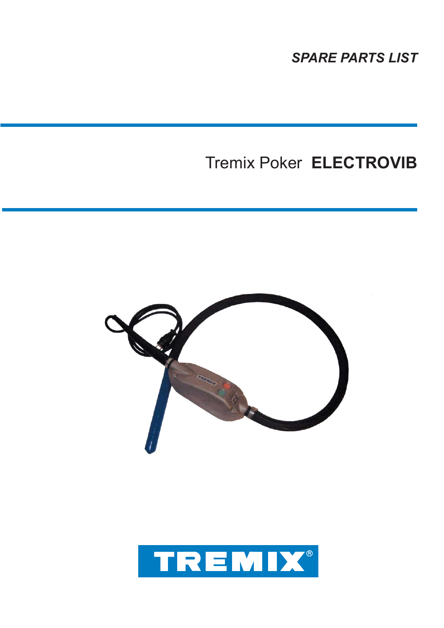*SPARE PARTS LIST*

## Tremix Poker **ELECTROVIB**



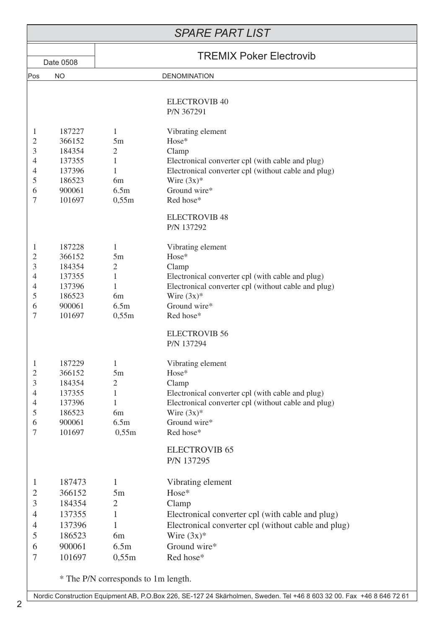| <b>SPARE PART LIST</b>                                                                                                                                                              |                                                                                                               |                                                                                                                                                                                                                                    |  |  |  |  |
|-------------------------------------------------------------------------------------------------------------------------------------------------------------------------------------|---------------------------------------------------------------------------------------------------------------|------------------------------------------------------------------------------------------------------------------------------------------------------------------------------------------------------------------------------------|--|--|--|--|
| Date 0508                                                                                                                                                                           |                                                                                                               | <b>TREMIX Poker Electrovib</b>                                                                                                                                                                                                     |  |  |  |  |
| <b>NO</b><br> Pos                                                                                                                                                                   |                                                                                                               | <b>DENOMINATION</b>                                                                                                                                                                                                                |  |  |  |  |
|                                                                                                                                                                                     |                                                                                                               |                                                                                                                                                                                                                                    |  |  |  |  |
|                                                                                                                                                                                     |                                                                                                               | <b>ELECTROVIB 40</b><br>P/N 367291                                                                                                                                                                                                 |  |  |  |  |
| 187227<br>1<br>$\mathfrak{2}$<br>366152<br>3<br>184354<br>4<br>137355<br>137396<br>4<br>5<br>186523<br>900061<br>6<br>7<br>101697                                                   | 1<br>5m<br>2<br>1<br>1<br>6 <sub>m</sub><br>6.5m<br>0,55m                                                     | Vibrating element<br>Hose*<br>Clamp<br>Electronical converter cpl (with cable and plug)<br>Electronical converter cpl (without cable and plug)<br>Wire $(3x)^*$<br>Ground wire*<br>Red hose*<br><b>ELECTROVIB 48</b><br>P/N 137292 |  |  |  |  |
| 187228<br>$\mathbf{1}$<br>$\mathfrak{2}$<br>366152<br>3<br>184354<br>4<br>137355<br>137396<br>4<br>5<br>186523<br>900061<br>6<br>$\overline{7}$<br>101697                           | 1<br>5m<br>$\mathfrak{2}$<br>1<br>1<br>6 <sub>m</sub><br>6.5m<br>0,55m                                        | Vibrating element<br>Hose*<br>Clamp<br>Electronical converter cpl (with cable and plug)<br>Electronical converter cpl (without cable and plug)<br>Wire $(3x)^*$<br>Ground wire*<br>Red hose*<br><b>ELECTROVIB 56</b>               |  |  |  |  |
| 187229<br>$\mathbf{1}$<br>$\mathfrak{2}$<br>366152<br>3<br>184354<br>$\overline{4}$<br>137355<br>4<br>137396<br>5<br>186523<br>900061<br>6<br>$\tau$<br>101697                      | 1<br>5m<br>$\overline{2}$<br>$\mathbf 1$<br>1<br>6 <sub>m</sub><br>6.5m<br>0,55m                              | P/N 137294<br>Vibrating element<br>Hose*<br>Clamp<br>Electronical converter cpl (with cable and plug)<br>Electronical converter cpl (without cable and plug)<br>Wire $(3x)*$<br>Ground wire*<br>Red hose*<br><b>ELECTROVIB 65</b>  |  |  |  |  |
| 187473<br>$\mathbf{1}$<br>$\mathfrak{2}$<br>366152<br>$\mathfrak{Z}$<br>184354<br>137355<br>$\overline{4}$<br>137396<br>$\overline{4}$<br>5<br>186523<br>900061<br>6<br>7<br>101697 | 1<br>5m<br>$\overline{2}$<br>1<br>1<br>6 <sub>m</sub><br>6.5m<br>0,55m<br>* The P/N corresponds to 1m length. | P/N 137295<br>Vibrating element<br>Hose*<br>Clamp<br>Electronical converter cpl (with cable and plug)<br>Electronical converter cpl (without cable and plug)<br>Wire $(3x)*$<br>Ground wire*<br>Red hose*                          |  |  |  |  |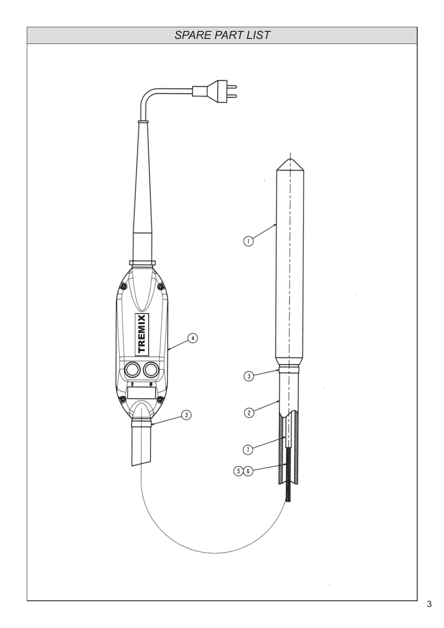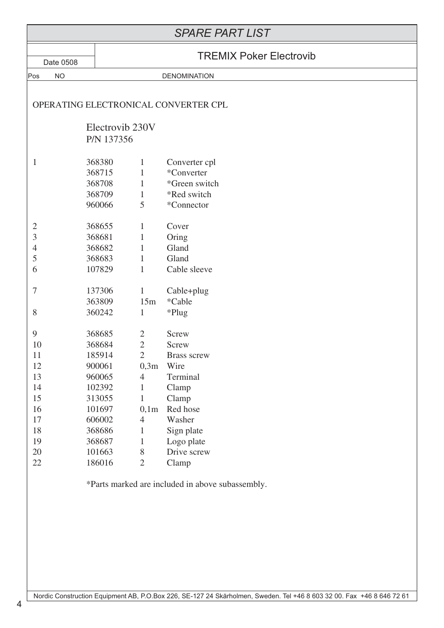### *SPARE PART LIST*

ī

|  | <b>TREMIX Poker Electrovib</b> |
|--|--------------------------------|
|  |                                |

Ϊ

| Date 0508      |           | <b>TREMIX Poker Electrovib</b> |                |                                                  |  |  |
|----------------|-----------|--------------------------------|----------------|--------------------------------------------------|--|--|
| Pos            | <b>NO</b> | <b>DENOMINATION</b>            |                |                                                  |  |  |
|                |           |                                |                | OPERATING ELECTRONICAL CONVERTER CPL             |  |  |
|                |           | Electrovib 230V                |                |                                                  |  |  |
|                |           | P/N 137356                     |                |                                                  |  |  |
| $\mathbf{1}$   |           | 368380                         | $\mathbf{1}$   | Converter cpl                                    |  |  |
|                |           | 368715                         | 1              | *Converter                                       |  |  |
|                |           | 368708                         | 1              | *Green switch                                    |  |  |
|                |           | 368709                         | $\mathbf{1}$   | *Red switch                                      |  |  |
|                |           | 960066                         | 5              | *Connector                                       |  |  |
| $\overline{2}$ |           | 368655                         | 1              | Cover                                            |  |  |
| $\mathfrak{Z}$ |           | 368681                         | $\mathbf{1}$   | Oring                                            |  |  |
| $\overline{4}$ |           | 368682                         | $\mathbf{1}$   | Gland                                            |  |  |
| 5              |           | 368683                         | $\mathbf{1}$   | Gland                                            |  |  |
| 6              |           | 107829                         | $\mathbf{1}$   | Cable sleeve                                     |  |  |
| $\tau$         |           | 137306                         | $\mathbf{1}$   | Cable+plug                                       |  |  |
|                |           | 363809                         | 15m            | *Cable                                           |  |  |
| 8              |           | 360242                         | $\mathbf{1}$   | *Plug                                            |  |  |
| 9              |           | 368685                         | $\overline{2}$ | Screw                                            |  |  |
| 10             |           | 368684                         | $\overline{2}$ | Screw                                            |  |  |
| 11             |           | 185914                         | $\overline{2}$ | <b>Brass screw</b>                               |  |  |
| 12             |           | 900061                         | 0,3m           | Wire                                             |  |  |
| 13             |           | 960065                         | $\overline{4}$ | Terminal                                         |  |  |
| 14             |           | 102392                         | $\mathbf{1}$   | Clamp                                            |  |  |
| 15             |           | 313055                         | $\mathbf{1}$   | Clamp                                            |  |  |
| 16             |           | 101697                         | 0,1m           | Red hose                                         |  |  |
| 17             |           | 606002                         | 4              | Washer                                           |  |  |
| $18\,$         |           | 368686                         | $\mathbf{1}$   | Sign plate                                       |  |  |
| 19             |           | 368687                         | 1              | Logo plate                                       |  |  |
| 20             |           | 101663                         | 8              | Drive screw                                      |  |  |
| 22             |           | 186016                         | $\overline{2}$ | Clamp                                            |  |  |
|                |           |                                |                | *Parts marked are included in above subassembly. |  |  |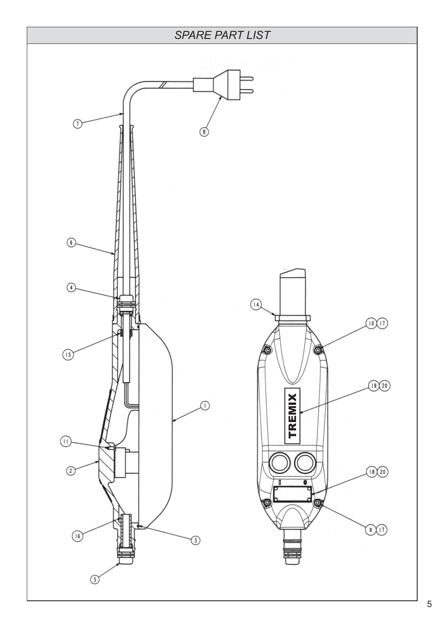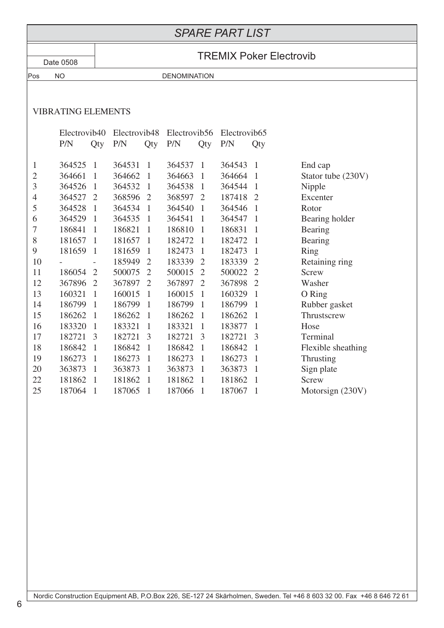#### *SPARE PART LIST*

## Date 0508 **TREMIX Poker Electrovib**

٦

#### VIBRATING ELEMENTS

Pos NO DENOMINATION

|                | Electrovib40 |                | Electrovib48 |                | Electrovib56 |                | Electrovib <sub>65</sub> |                |                    |
|----------------|--------------|----------------|--------------|----------------|--------------|----------------|--------------------------|----------------|--------------------|
|                | P/N          | Qty            | P/N          | Qty            | P/N          | Qty            | P/N                      | Qty            |                    |
|                |              |                |              |                |              |                |                          |                |                    |
| $\mathbf{1}$   | 364525       | $\mathbf{1}$   | 364531       | $\mathbf{1}$   | 364537       | $\mathbf{1}$   | 364543                   | $\mathbf{1}$   | End cap            |
| $\overline{2}$ | 364661       | $\mathbf{1}$   | 364662       | 1              | 364663       | 1              | 364664                   | -1             | Stator tube (230V) |
| 3              | 364526       | $\mathbf{1}$   | 364532       | $\mathbf{1}$   | 364538       | 1              | 364544                   | 1              | Nipple             |
| 4              | 364527       | $\overline{2}$ | 368596       | $\overline{2}$ | 368597       | $\overline{2}$ | 187418                   | 2              | Excenter           |
| 5              | 364528       | $\mathbf{1}$   | 364534       | $\mathbf{1}$   | 364540       | 1              | 364546                   | 1              | Rotor              |
| 6              | 364529       | $\mathbf{1}$   | 364535       | 1              | 364541       | 1              | 364547                   | 1              | Bearing holder     |
| 7              | 186841       | 1              | 186821       | 1              | 186810       | 1              | 186831                   | 1              | Bearing            |
| 8              | 181657       | 1              | 181657       | 1              | 182472       | 1              | 182472                   | 1              | Bearing            |
| 9              | 181659       | $\mathbf{1}$   | 181659       | $\mathbf 1$    | 182473       | 1              | 182473                   | 1              | Ring               |
| 10             |              |                | 185949       | $\overline{2}$ | 183339       | $\overline{2}$ | 183339                   | $\overline{2}$ | Retaining ring     |
| 11             | 186054       | $\overline{2}$ | 500075       | $\overline{2}$ | 500015       | $\overline{2}$ | 500022                   | $\overline{2}$ | Screw              |
| 12             | 367896       | $\overline{2}$ | 367897       | $\overline{2}$ | 367897       | $\overline{2}$ | 367898                   | $\overline{2}$ | Washer             |
| 13             | 160321       | $\mathbf{1}$   | 160015       | $\mathbf{1}$   | 160015       | 1              | 160329                   | 1              | O Ring             |
| 14             | 186799       | $\mathbf{1}$   | 186799       | $\mathbf{1}$   | 186799       | 1              | 186799                   | $\mathbf{1}$   | Rubber gasket      |
| 15             | 186262       | $\mathbf{1}$   | 186262       | $\mathbf{1}$   | 186262       | 1              | 186262                   | 1              | Thrustscrew        |
| 16             | 183320       | $\mathbf{1}$   | 183321       | $\mathbf{1}$   | 183321       | 1              | 183877                   | 1              | Hose               |
| 17             | 182721       | 3              | 182721       | 3              | 182721       | 3              | 182721                   | 3              | Terminal           |
| 18             | 186842       | $\mathbf{1}$   | 186842       | 1              | 186842       | 1              | 186842                   | 1              | Flexible sheathing |
| 19             | 186273       | $\mathbf{1}$   | 186273       | $\mathbf{1}$   | 186273       | 1              | 186273                   | 1              | Thrusting          |
| 20             | 363873       | 1              | 363873       | $\mathbf 1$    | 363873       | 1              | 363873                   | 1              | Sign plate         |
| 22             | 181862       | $\mathbf{1}$   | 181862       | 1              | 181862       | 1              | 181862                   | 1              | Screw              |
| 25             | 187064       | $\mathbf{1}$   | 187065       | $\mathbf{1}$   | 187066       | 1              | 187067                   | 1              | Motorsign (230V)   |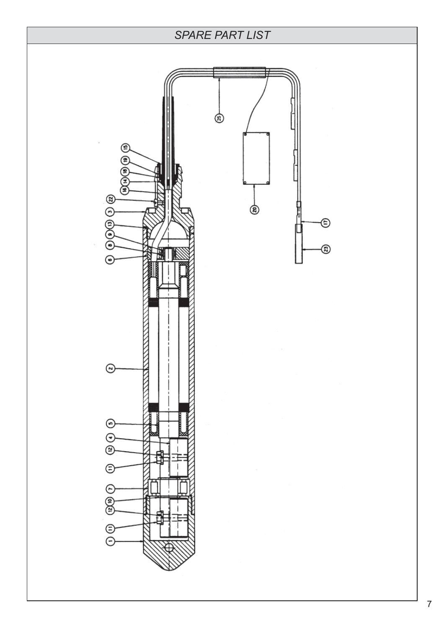